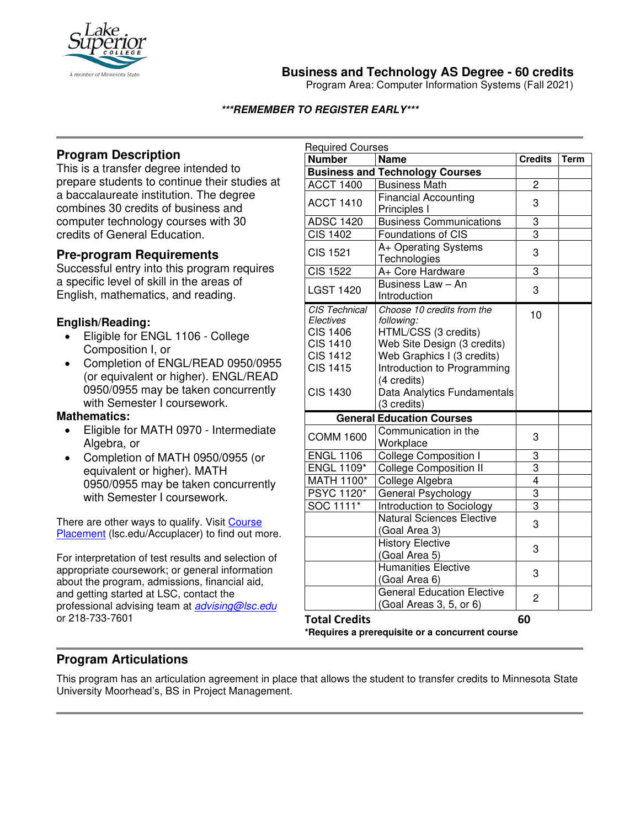

**Business and Technology AS Degree - 60 credits**

Program Area: Computer Information Systems (Fall 2021)

### **\*\*\*REMEMBER TO REGISTER EARLY\*\*\***

# **Program Description**

This is a transfer degree intended to prepare students to continue their studies at a baccalaureate institution. The degree combines 30 credits of business and computer technology courses with 30 credits of General Education.

## **Pre-program Requirements**

Successful entry into this program requires a specific level of skill in the areas of English, mathematics, and reading.

### **English/Reading:**

- Eligible for ENGL 1106 College Composition I, or
- Completion of ENGL/READ 0950/0955 (or equivalent or higher). ENGL/READ 0950/0955 may be taken concurrently with Semester I coursework.

#### **Mathematics:**

- Eligible for MATH 0970 Intermediate Algebra, or
- Completion of MATH 0950/0955 (or equivalent or higher). MATH 0950/0955 may be taken concurrently with Semester I coursework.

There are other ways to qualify. Visit Course Placement (Isc.edu/Accuplacer) to find out more.

For interpretation of test results and selection of appropriate coursework; or general information about the program, admissions, financial aid, and getting started at LSC, contact the professional advising team at *[advising@lsc.edu](mailto:advising@lsc.edu)* or 218-733-7601

| <b>Required Courses</b>                       |                                                                  |                |      |
|-----------------------------------------------|------------------------------------------------------------------|----------------|------|
| <b>Number</b>                                 | <b>Name</b>                                                      | <b>Credits</b> | Term |
|                                               | <b>Business and Technology Courses</b>                           |                |      |
| <b>ACCT 1400</b>                              | <b>Business Math</b>                                             | 2              |      |
| <b>ACCT 1410</b>                              | <b>Financial Accounting</b><br>Principles I                      | 3              |      |
| <b>ADSC 1420</b>                              | <b>Business Communications</b>                                   | 3              |      |
| <b>CIS 1402</b>                               | Foundations of CIS                                               | $\overline{3}$ |      |
| <b>CIS 1521</b>                               | A+ Operating Systems<br>Technologies                             | 3              |      |
| <b>CIS 1522</b>                               | A+ Core Hardware                                                 | 3              |      |
| <b>LGST 1420</b>                              | Business Law $-\overline{A}n$<br>Introduction                    | 3              |      |
| CIS Technical<br>Electives<br><b>CIS 1406</b> | Choose 10 credits from the<br>following:<br>HTML/CSS (3 credits) | 10             |      |
| <b>CIS 1410</b>                               | Web Site Design (3 credits)                                      |                |      |
| <b>CIS 1412</b>                               | Web Graphics I (3 credits)                                       |                |      |
| <b>CIS 1415</b>                               | Introduction to Programming                                      |                |      |
|                                               | (4 credits)                                                      |                |      |
| <b>CIS 1430</b>                               | Data Analytics Fundamentals<br>(3 credits)                       |                |      |
|                                               | <b>General Education Courses</b>                                 |                |      |
| <b>COMM 1600</b>                              | Communication in the<br>Workplace                                | 3              |      |
| <b>ENGL 1106</b>                              | <b>College Composition I</b>                                     | 3              |      |
| <b>ENGL 1109*</b>                             | <b>College Composition II</b>                                    | 3              |      |
| <b>MATH 1100*</b>                             | College Algebra                                                  | $\overline{4}$ |      |
| <b>PSYC 1120*</b>                             | General Psychology                                               | 3              |      |
| SOC 1111*                                     | Introduction to Sociology                                        | $\overline{3}$ |      |
|                                               | <b>Natural Sciences Elective</b>                                 | 3              |      |
|                                               | (Goal Area 3)                                                    |                |      |
|                                               | <b>History Elective</b>                                          | 3              |      |
|                                               | (Goal Area 5)                                                    |                |      |
|                                               | <b>Humanities Elective</b>                                       | 3              |      |
|                                               | (Goal Area 6)                                                    |                |      |
|                                               | <b>General Education Elective</b><br>(Goal Areas 3, 5, or 6)     | $\overline{c}$ |      |
| <b>Total Credits</b>                          |                                                                  | 60             |      |

**\*Requires a prerequisite or a concurrent course**

## **Program Articulations**

This program has an articulation agreement in place that allows the student to transfer credits to Minnesota State University Moorhead's, BS in Project Management.